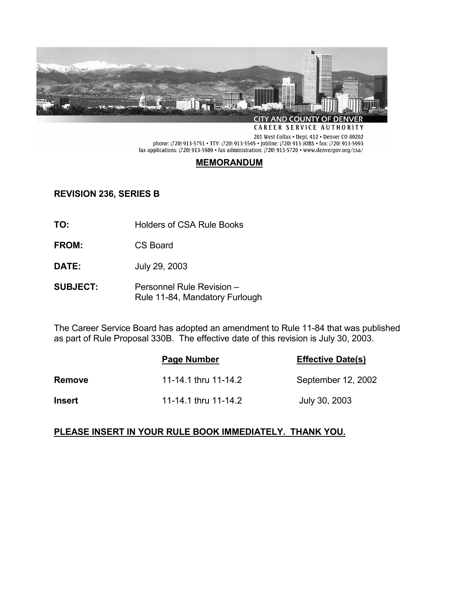

CAREER SERVICE AUTHORITY

201 West Colfax . Dept, 412 . Denver CO 80202 phone: (720) 913-5751 • TTY: (720) 913-5545 • jobline: (720) 913-JOBS • fax: (720) 913-5993 fax applications: (720) 913-5989 • fax administration: (720) 913-5720 • www.denvergov.org/csa/

# **MEMORANDUM**

## **REVISION 236, SERIES B**

- **TO:** Holders of CSA Rule Books
- **FROM:** CS Board
- **DATE:** July 29, 2003
- **SUBJECT:** Personnel Rule Revision Rule 11-84, Mandatory Furlough

The Career Service Board has adopted an amendment to Rule 11-84 that was published as part of Rule Proposal 330B. The effective date of this revision is July 30, 2003.

|               | Page Number          | <b>Effective Date(s)</b> |
|---------------|----------------------|--------------------------|
| <b>Remove</b> | 11-14.1 thru 11-14.2 | September 12, 2002       |
| <b>Insert</b> | 11-14.1 thru 11-14.2 | July 30, 2003            |

## **PLEASE INSERT IN YOUR RULE BOOK IMMEDIATELY. THANK YOU.**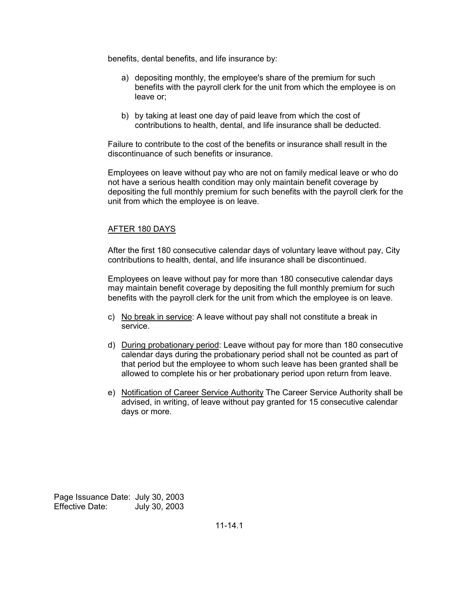benefits, dental benefits, and life insurance by:

- a) depositing monthly, the employee's share of the premium for such benefits with the payroll clerk for the unit from which the employee is on leave or;
- b) by taking at least one day of paid leave from which the cost of contributions to health, dental, and life insurance shall be deducted.

Failure to contribute to the cost of the benefits or insurance shall result in the discontinuance of such benefits or insurance.

Employees on leave without pay who are not on family medical leave or who do not have a serious health condition may only maintain benefit coverage by depositing the full monthly premium for such benefits with the payroll clerk for the unit from which the employee is on leave.

#### AFTER 180 DAYS

After the first 180 consecutive calendar days of voluntary leave without pay, City contributions to health, dental, and life insurance shall be discontinued.

Employees on leave without pay for more than 180 consecutive calendar days may maintain benefit coverage by depositing the full monthly premium for such benefits with the payroll clerk for the unit from which the employee is on leave.

- c) No break in service: A leave without pay shall not constitute a break in service.
- d) During probationary period: Leave without pay for more than 180 consecutive calendar days during the probationary period shall not be counted as part of that period but the employee to whom such leave has been granted shall be allowed to complete his or her probationary period upon return from leave.
- e) Notification of Career Service Authority The Career Service Authority shall be advised, in writing, of leave without pay granted for 15 consecutive calendar days or more.

Page Issuance Date: July 30, 2003 Effective Date: July 30, 2003